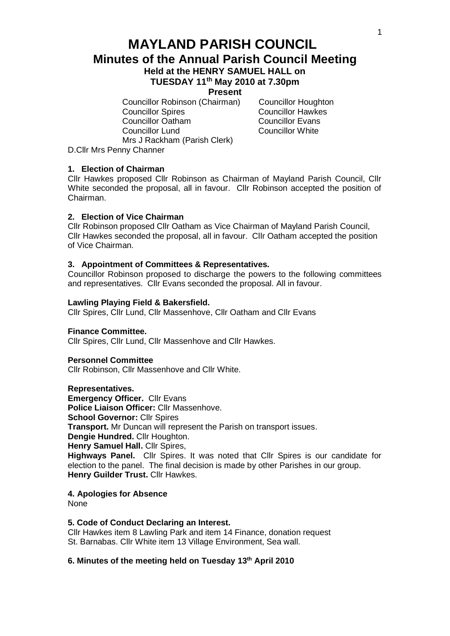# **MAYLAND PARISH COUNCIL Minutes of the Annual Parish Council Meeting Held at the HENRY SAMUEL HALL on**

# **TUESDAY 11th May 2010 at 7.30pm**

**Present**

Councillor Robinson (Chairman) Councillor Houghton<br>Councillor Spires Councillor Hawkes Councillor Oatham Councillor Evans Councillor Lund Councillor White Mrs J Rackham (Parish Clerk)

Councillor Hawkes

D.Cllr Mrs Penny Channer

# **1. Election of Chairman**

Cllr Hawkes proposed Cllr Robinson as Chairman of Mayland Parish Council, Cllr White seconded the proposal, all in favour. Cllr Robinson accepted the position of Chairman.

#### **2. Election of Vice Chairman**

Cllr Robinson proposed Cllr Oatham as Vice Chairman of Mayland Parish Council, Cllr Hawkes seconded the proposal, all in favour. Cllr Oatham accepted the position of Vice Chairman.

#### **3. Appointment of Committees & Representatives.**

Councillor Robinson proposed to discharge the powers to the following committees and representatives. Cllr Evans seconded the proposal. All in favour.

#### **Lawling Playing Field & Bakersfield.**

Cllr Spires, Cllr Lund, Cllr Massenhove, Cllr Oatham and Cllr Evans

#### **Finance Committee.**

Cllr Spires, Cllr Lund, Cllr Massenhove and Cllr Hawkes.

# **Personnel Committee**

Cllr Robinson, Cllr Massenhove and Cllr White.

#### **Representatives.**

**Emergency Officer.** Cllr Evans **Police Liaison Officer:** Cllr Massenhove. **School Governor: Cllr Spires Transport.** Mr Duncan will represent the Parish on transport issues. **Dengie Hundred.** Cllr Houghton. **Henry Samuel Hall.** Cllr Spires, **Highways Panel.** Cllr Spires. It was noted that Cllr Spires is our candidate for election to the panel. The final decision is made by other Parishes in our group. **Henry Guilder Trust.** Cllr Hawkes.

# **4. Apologies for Absence**

None

# **5. Code of Conduct Declaring an Interest.**

Cllr Hawkes item 8 Lawling Park and item 14 Finance, donation request St. Barnabas. Cllr White item 13 Village Environment, Sea wall.

# **6. Minutes of the meeting held on Tuesday 13 th April 2010**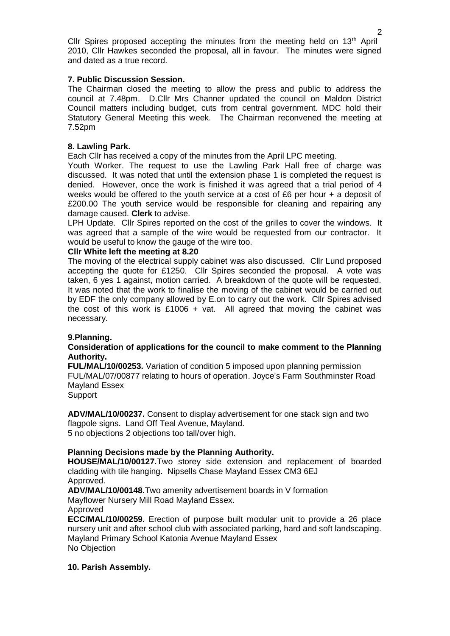Cllr Spires proposed accepting the minutes from the meeting held on  $13<sup>th</sup>$  April 2010, Cllr Hawkes seconded the proposal, all in favour. The minutes were signed and dated as a true record.

# **7. Public Discussion Session.**

The Chairman closed the meeting to allow the press and public to address the council at 7.48pm. D.Cllr Mrs Channer updated the council on Maldon District Council matters including budget, cuts from central government. MDC hold their Statutory General Meeting this week. The Chairman reconvened the meeting at 7.52pm

# **8. Lawling Park.**

Each Cllr has received a copy of the minutes from the April LPC meeting.

Youth Worker. The request to use the Lawling Park Hall free of charge was discussed. It was noted that until the extension phase 1 is completed the request is denied. However, once the work is finished it was agreed that a trial period of 4 weeks would be offered to the youth service at a cost of £6 per hour + a deposit of £200.00 The youth service would be responsible for cleaning and repairing any damage caused. **Clerk** to advise.

LPH Update. Cllr Spires reported on the cost of the grilles to cover the windows. It was agreed that a sample of the wire would be requested from our contractor. It would be useful to know the gauge of the wire too.

# **Cllr White left the meeting at 8.20**

The moving of the electrical supply cabinet was also discussed. Cllr Lund proposed accepting the quote for £1250. Cllr Spires seconded the proposal. A vote was taken, 6 yes 1 against, motion carried. A breakdown of the quote will be requested. It was noted that the work to finalise the moving of the cabinet would be carried out by EDF the only company allowed by E.on to carry out the work. Cllr Spires advised the cost of this work is £1006 + vat. All agreed that moving the cabinet was necessary.

#### **9.Planning.**

# **Consideration of applications for the council to make comment to the Planning Authority.**

**FUL/MAL/10/00253.** Variation of condition 5 imposed upon planning permission FUL/MAL/07/00877 relating to hours of operation. Joyce's Farm Southminster Road Mayland Essex

**Support** 

**ADV/MAL/10/00237.** Consent to display advertisement for one stack sign and two flagpole signs. Land Off Teal Avenue, Mayland. 5 no objections 2 objections too tall/over high.

# **Planning Decisions made by the Planning Authority.**

**HOUSE/MAL/10/00127.**Two storey side extension and replacement of boarded cladding with tile hanging. Nipsells Chase Mayland Essex CM3 6EJ Approved.

**ADV/MAL/10/00148.**Two amenity advertisement boards in V formation

Mayflower Nursery Mill Road Mayland Essex.

Approved

**ECC/MAL/10/00259.** Erection of purpose built modular unit to provide a 26 place nursery unit and after school club with associated parking, hard and soft landscaping. Mayland Primary School Katonia Avenue Mayland Essex No Objection

#### **10. Parish Assembly.**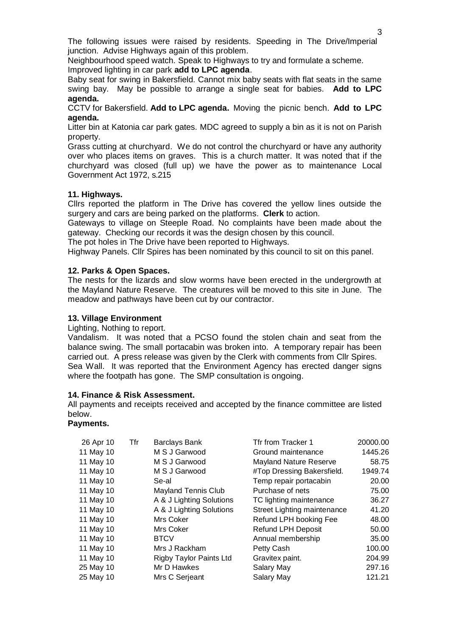The following issues were raised by residents. Speeding in The Drive/Imperial junction. Advise Highways again of this problem.

Neighbourhood speed watch. Speak to Highways to try and formulate a scheme. Improved lighting in car park **add to LPC agenda**.

Baby seat for swing in Bakersfield. Cannot mix baby seats with flat seats in the same swing bay. May be possible to arrange a single seat for babies. **Add to LPC agenda.**

CCTV for Bakersfield. **Add to LPC agenda.** Moving the picnic bench. **Add to LPC agenda.**

Litter bin at Katonia car park gates. MDC agreed to supply a bin as it is not on Parish property.

Grass cutting at churchyard. We do not control the churchyard or have any authority over who places items on graves. This is a church matter. It was noted that if the churchyard was closed (full up) we have the power as to maintenance Local Government Act 1972, s.215

#### **11. Highways.**

Cllrs reported the platform in The Drive has covered the yellow lines outside the surgery and cars are being parked on the platforms. **Clerk** to action.

Gateways to village on Steeple Road. No complaints have been made about the gateway. Checking our records it was the design chosen by this council.

The pot holes in The Drive have been reported to Highways.

Highway Panels. Cllr Spires has been nominated by this council to sit on this panel.

#### **12. Parks & Open Spaces.**

The nests for the lizards and slow worms have been erected in the undergrowth at the Mayland Nature Reserve. The creatures will be moved to this site in June. The meadow and pathways have been cut by our contractor.

#### **13. Village Environment**

Lighting, Nothing to report.

Vandalism. It was noted that a PCSO found the stolen chain and seat from the balance swing. The small portacabin was broken into. A temporary repair has been carried out. A press release was given by the Clerk with comments from Cllr Spires. Sea Wall. It was reported that the Environment Agency has erected danger signs where the footpath has gone. The SMP consultation is ongoing.

#### **14. Finance & Risk Assessment.**

All payments and receipts received and accepted by the finance committee are listed below.

#### **Payments.**

| 26 Apr 10 | Tfr | <b>Barclays Bank</b>           | Tfr from Tracker 1          | 20000.00 |
|-----------|-----|--------------------------------|-----------------------------|----------|
| 11 May 10 |     | M S J Garwood                  | Ground maintenance          | 1445.26  |
| 11 May 10 |     | M S J Garwood                  | Mayland Nature Reserve      | 58.75    |
| 11 May 10 |     | M S J Garwood                  | #Top Dressing Bakersfield.  | 1949.74  |
| 11 May 10 |     | Se-al                          | Temp repair portacabin      | 20.00    |
| 11 May 10 |     | <b>Mayland Tennis Club</b>     | Purchase of nets            | 75.00    |
| 11 May 10 |     | A & J Lighting Solutions       | TC lighting maintenance     | 36.27    |
| 11 May 10 |     | A & J Lighting Solutions       | Street Lighting maintenance | 41.20    |
| 11 May 10 |     | Mrs Coker                      | Refund LPH booking Fee      | 48.00    |
| 11 May 10 |     | Mrs Coker                      | <b>Refund LPH Deposit</b>   | 50.00    |
| 11 May 10 |     | <b>BTCV</b>                    | Annual membership           | 35.00    |
| 11 May 10 |     | Mrs J Rackham                  | Petty Cash                  | 100.00   |
| 11 May 10 |     | <b>Rigby Taylor Paints Ltd</b> | Gravitex paint.             | 204.99   |
| 25 May 10 |     | Mr D Hawkes                    | Salary May                  | 297.16   |
| 25 May 10 |     | Mrs C Serjeant                 | Salary May                  | 121.21   |